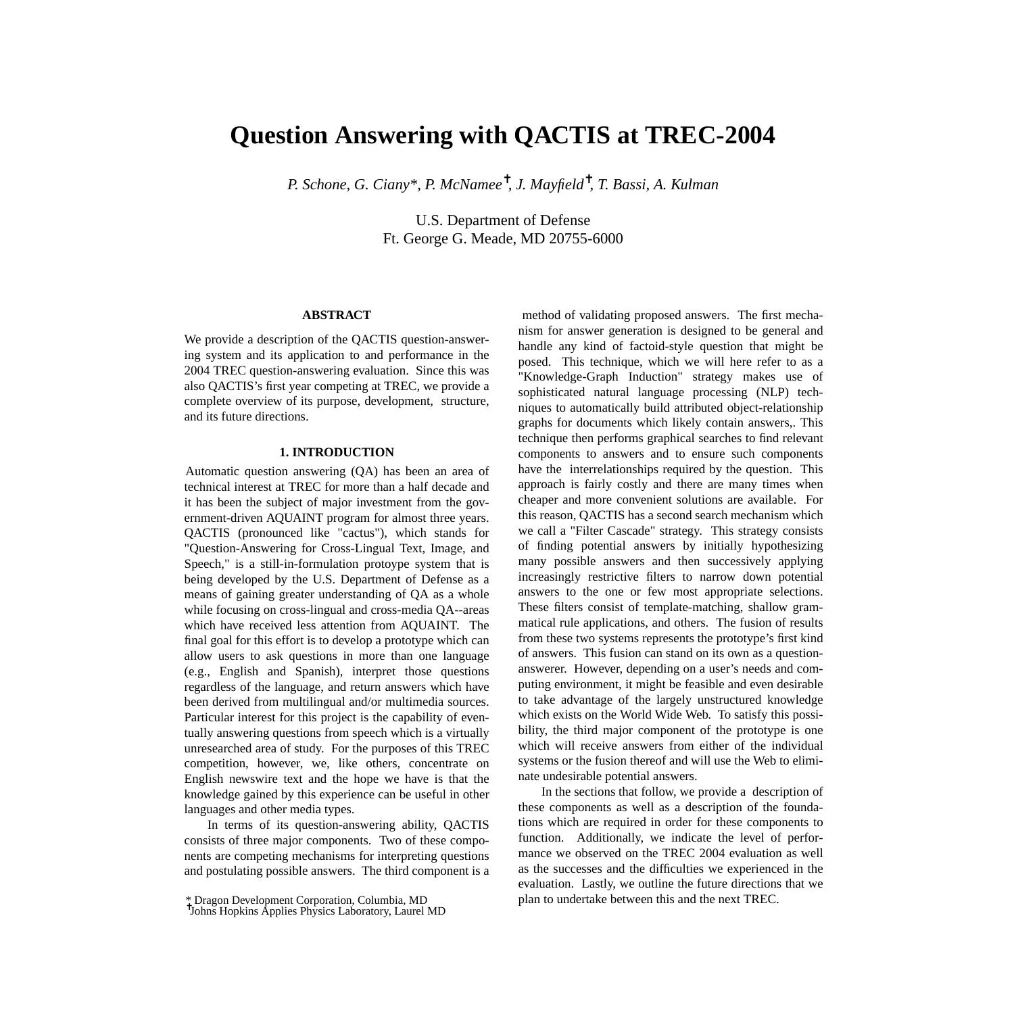# **Question Answering with QACTIS at TREC-2004**

*P. Schone, G. Ciany\*, P. McNamee*✝ *, J. Mayfield*✝ *, T. Bassi, A. Kulman*

U.S. Department of Defense Ft. George G. Meade, MD 20755-6000

# **ABSTRACT**

We provide a description of the QACTIS question-answering system and its application to and performance in the 2004 TREC question-answering evaluation. Since this was also QACTIS's first year competing at TREC, we provide a complete overview of its purpose, development, structure, and its future directions.

#### **1. INTRODUCTION**

Automatic question answering (QA) has been an area of technical interest at TREC for more than a half decade and it has been the subject of major investment from the government-driven AQUAINT program for almost three years. QACTIS (pronounced like "cactus"), which stands for "Question-Answering for Cross-Lingual Text, Image, and Speech," is a still-in-formulation protoype system that is being developed by the U.S. Department of Defense as a means of gaining greater understanding of QA as a whole while focusing on cross-lingual and cross-media QA--areas which have received less attention from AQUAINT. The final goal for this effort is to develop a prototype which can allow users to ask questions in more than one language (e.g., English and Spanish), interpret those questions regardless of the language, and return answers which have been derived from multilingual and/or multimedia sources. Particular interest for this project is the capability of eventually answering questions from speech which is a virtually unresearched area of study. For the purposes of this TREC competition, however, we, like others, concentrate on English newswire text and the hope we have is that the knowledge gained by this experience can be useful in other languages and other media types.

In terms of its question-answering ability, QACTIS consists of three major components. Two of these components are competing mechanisms for interpreting questions and postulating possible answers. The third component is a

method of validating proposed answers. The first mechanism for answer generation is designed to be general and handle any kind of factoid-style question that might be posed. This technique, which we will here refer to as a "Knowledge-Graph Induction" strategy makes use of sophisticated natural language processing (NLP) techniques to automatically build attributed object-relationship graphs for documents which likely contain answers,. This technique then performs graphical searches to find relevant components to answers and to ensure such components have the interrelationships required by the question. This approach is fairly costly and there are many times when cheaper and more convenient solutions are available. For this reason, QACTIS has a second search mechanism which we call a "Filter Cascade" strategy. This strategy consists of finding potential answers by initially hypothesizing many possible answers and then successively applying increasingly restrictive filters to narrow down potential answers to the one or few most appropriate selections. These filters consist of template-matching, shallow grammatical rule applications, and others. The fusion of results from these two systems represents the prototype's first kind of answers. This fusion can stand on its own as a questionanswerer. However, depending on a user's needs and computing environment, it might be feasible and even desirable to take advantage of the largely unstructured knowledge which exists on the World Wide Web. To satisfy this possibility, the third major component of the prototype is one which will receive answers from either of the individual systems or the fusion thereof and will use the Web to eliminate undesirable potential answers.

In the sections that follow, we provide a description of these components as well as a description of the foundations which are required in order for these components to function. Additionally, we indicate the level of performance we observed on the TREC 2004 evaluation as well as the successes and the difficulties we experienced in the evaluation. Lastly, we outline the future directions that we plan to undertake between this and the next TREC.

<sup>\*</sup> Dragon Development Corporation, Columbia, MD ✝ Johns Hopkins Applies Physics Laboratory, Laurel MD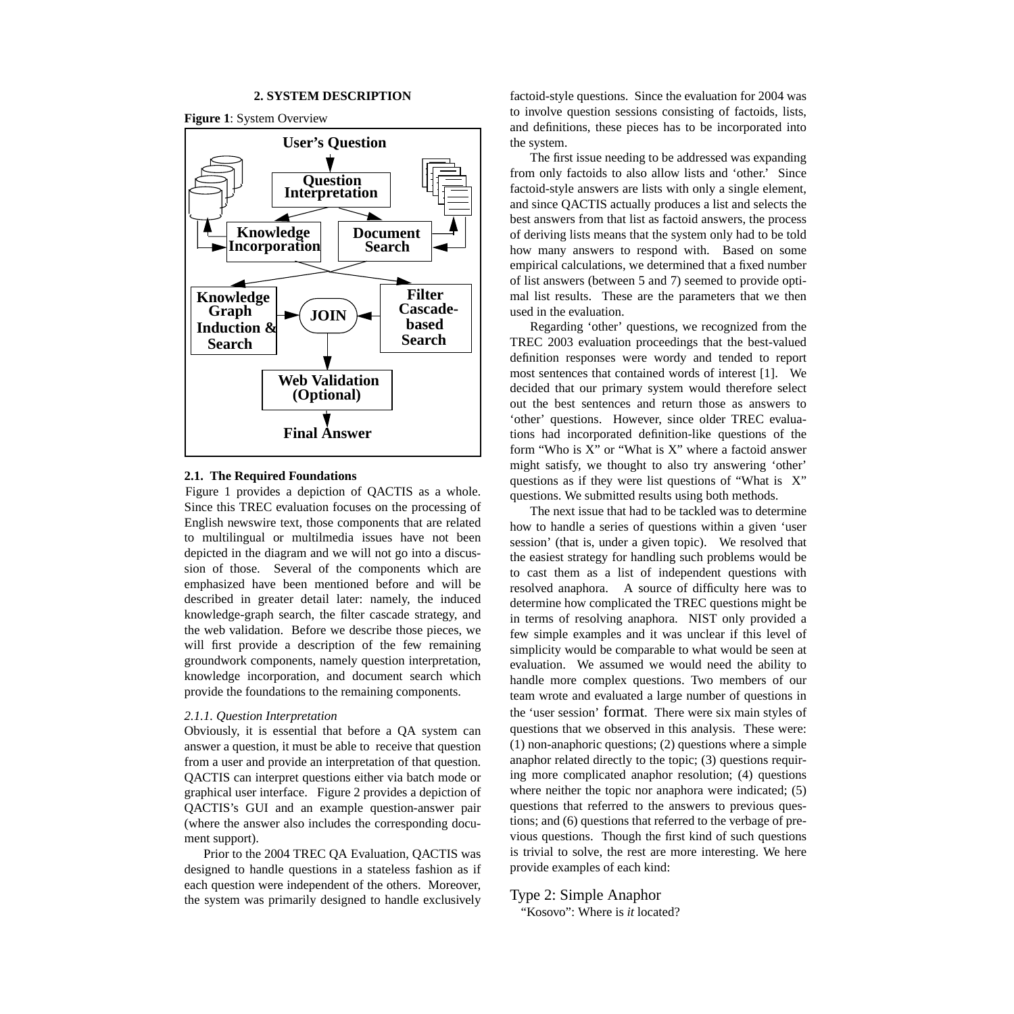#### **2. SYSTEM DESCRIPTION**

**Figure 1**: System Overview



#### **2.1. The Required Foundations**

Figure 1 provides a depiction of QACTIS as a whole. Since this TREC evaluation focuses on the processing of English newswire text, those components that are related to multilingual or multilmedia issues have not been depicted in the diagram and we will not go into a discussion of those. Several of the components which are emphasized have been mentioned before and will be described in greater detail later: namely, the induced knowledge-graph search, the filter cascade strategy, and the web validation. Before we describe those pieces, we will first provide a description of the few remaining groundwork components, namely question interpretation, knowledge incorporation, and document search which provide the foundations to the remaining components.

#### *2.1.1. Question Interpretation*

Obviously, it is essential that before a QA system can answer a question, it must be able to receive that question from a user and provide an interpretation of that question. QACTIS can interpret questions either via batch mode or graphical user interface. Figure 2 provides a depiction of QACTIS's GUI and an example question-answer pair (where the answer also includes the corresponding document support).

Prior to the 2004 TREC QA Evaluation, QACTIS was designed to handle questions in a stateless fashion as if each question were independent of the others. Moreover, the system was primarily designed to handle exclusively

factoid-style questions. Since the evaluation for 2004 was to involve question sessions consisting of factoids, lists, and definitions, these pieces has to be incorporated into the system.

The first issue needing to be addressed was expanding from only factoids to also allow lists and 'other.' Since factoid-style answers are lists with only a single element, and since QACTIS actually produces a list and selects the best answers from that list as factoid answers, the process of deriving lists means that the system only had to be told how many answers to respond with. Based on some empirical calculations, we determined that a fixed number of list answers (between 5 and 7) seemed to provide optimal list results. These are the parameters that we then used in the evaluation.

Regarding 'other' questions, we recognized from the TREC 2003 evaluation proceedings that the best-valued definition responses were wordy and tended to report most sentences that contained words of interest [1]. We decided that our primary system would therefore select out the best sentences and return those as answers to 'other' questions. However, since older TREC evaluations had incorporated definition-like questions of the form "Who is X" or "What is X" where a factoid answer might satisfy, we thought to also try answering 'other' questions as if they were list questions of "What is X" questions. We submitted results using both methods.

The next issue that had to be tackled was to determine how to handle a series of questions within a given 'user session' (that is, under a given topic). We resolved that the easiest strategy for handling such problems would be to cast them as a list of independent questions with resolved anaphora. A source of difficulty here was to determine how complicated the TREC questions might be in terms of resolving anaphora. NIST only provided a few simple examples and it was unclear if this level of simplicity would be comparable to what would be seen at evaluation. We assumed we would need the ability to handle more complex questions. Two members of our team wrote and evaluated a large number of questions in the 'user session' format. There were six main styles of questions that we observed in this analysis. These were: (1) non-anaphoric questions; (2) questions where a simple anaphor related directly to the topic; (3) questions requiring more complicated anaphor resolution; (4) questions where neither the topic nor anaphora were indicated; (5) questions that referred to the answers to previous questions; and (6) questions that referred to the verbage of previous questions. Though the first kind of such questions is trivial to solve, the rest are more interesting. We here provide examples of each kind:

# Type 2: Simple Anaphor

"Kosovo": Where is *it* located?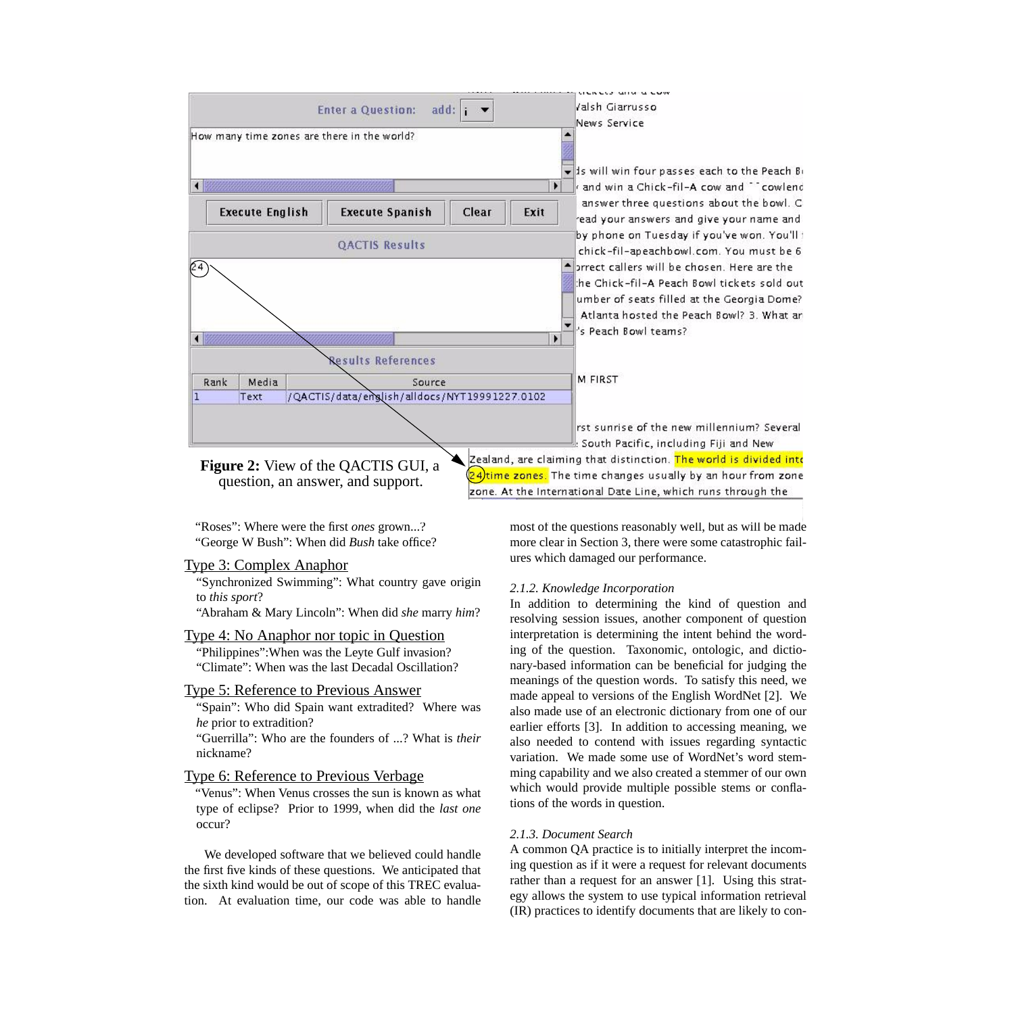

"Roses": Where were the first *ones* grown...? "George W Bush": When did *Bush* take office?

# Type 3: Complex Anaphor

"Synchronized Swimming": What country gave origin to *this sport*?

"Abraham & Mary Lincoln": When did *she* marry *him*?

# Type 4: No Anaphor nor topic in Question

"Philippines":When was the Leyte Gulf invasion? "Climate": When was the last Decadal Oscillation?

# Type 5: Reference to Previous Answer

"Spain": Who did Spain want extradited? Where was *he* prior to extradition?

"Guerrilla": Who are the founders of ...? What is *their* nickname?

# Type 6: Reference to Previous Verbage

"Venus": When Venus crosses the sun is known as what type of eclipse? Prior to 1999, when did the *last one* occur?

We developed software that we believed could handle the first five kinds of these questions. We anticipated that the sixth kind would be out of scope of this TREC evaluation. At evaluation time, our code was able to handle

most of the questions reasonably well, but as will be made more clear in Section 3, there were some catastrophic failures which damaged our performance.

#### *2.1.2. Knowledge Incorporation*

In addition to determining the kind of question and resolving session issues, another component of question interpretation is determining the intent behind the wording of the question. Taxonomic, ontologic, and dictionary-based information can be beneficial for judging the meanings of the question words. To satisfy this need, we made appeal to versions of the English WordNet [2]. We also made use of an electronic dictionary from one of our earlier efforts [3]. In addition to accessing meaning, we also needed to contend with issues regarding syntactic variation. We made some use of WordNet's word stemming capability and we also created a stemmer of our own which would provide multiple possible stems or conflations of the words in question.

#### *2.1.3. Document Search*

A common QA practice is to initially interpret the incoming question as if it were a request for relevant documents rather than a request for an answer [1]. Using this strategy allows the system to use typical information retrieval (IR) practices to identify documents that are likely to con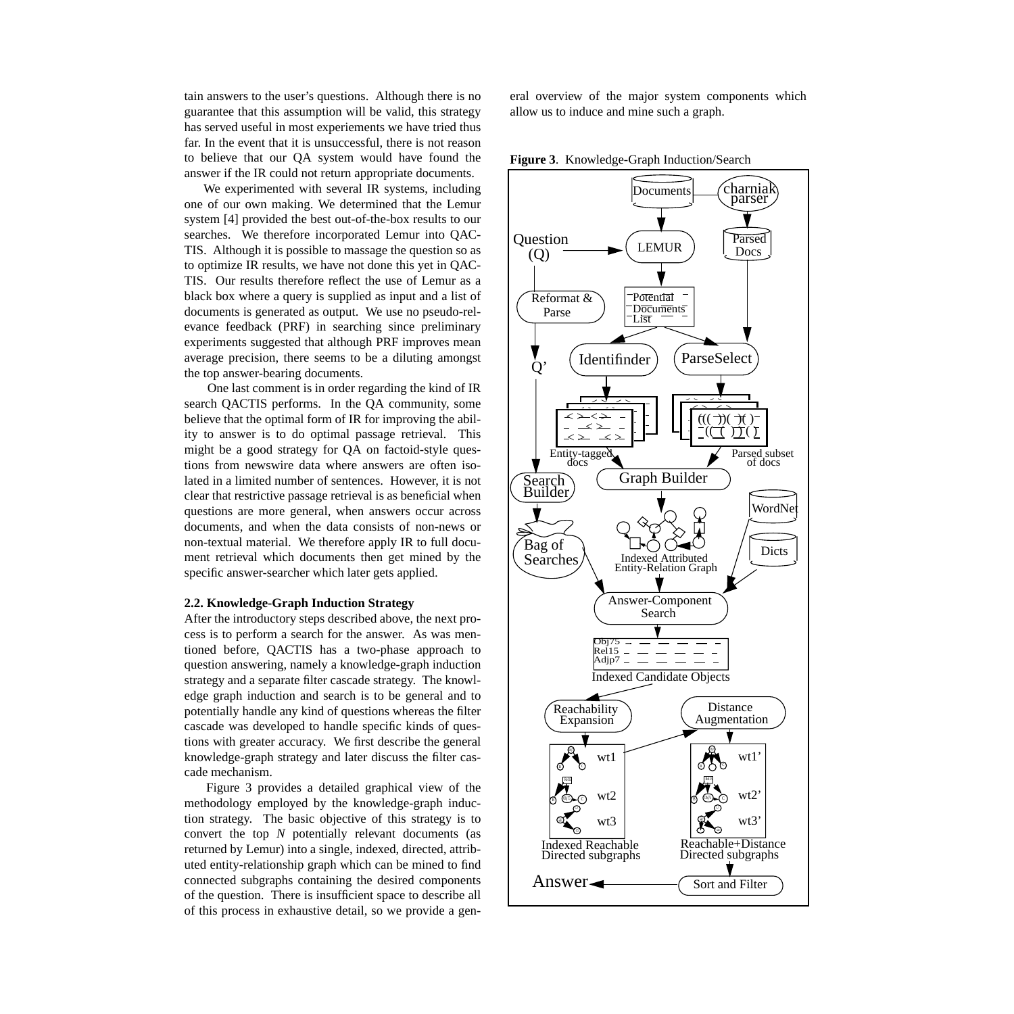tain answers to the user's questions. Although there is no guarantee that this assumption will be valid, this strategy has served useful in most experiements we have tried thus far. In the event that it is unsuccessful, there is not reason to believe that our QA system would have found the answer if the IR could not return appropriate documents.

We experimented with several IR systems, including one of our own making. We determined that the Lemur system [4] provided the best out-of-the-box results to our searches. We therefore incorporated Lemur into QAC-TIS. Although it is possible to massage the question so as to optimize IR results, we have not done this yet in QAC-TIS. Our results therefore reflect the use of Lemur as a black box where a query is supplied as input and a list of documents is generated as output. We use no pseudo-relevance feedback (PRF) in searching since preliminary experiments suggested that although PRF improves mean average precision, there seems to be a diluting amongst the top answer-bearing documents.

One last comment is in order regarding the kind of IR search QACTIS performs. In the QA community, some believe that the optimal form of IR for improving the ability to answer is to do optimal passage retrieval. This might be a good strategy for QA on factoid-style questions from newswire data where answers are often isolated in a limited number of sentences. However, it is not clear that restrictive passage retrieval is as beneficial when questions are more general, when answers occur across documents, and when the data consists of non-news or non-textual material. We therefore apply IR to full document retrieval which documents then get mined by the specific answer-searcher which later gets applied.

#### **2.2. Knowledge-Graph Induction Strategy**

After the introductory steps described above, the next process is to perform a search for the answer. As was mentioned before, QACTIS has a two-phase approach to question answering, namely a knowledge-graph induction strategy and a separate filter cascade strategy. The knowledge graph induction and search is to be general and to potentially handle any kind of questions whereas the filter cascade was developed to handle specific kinds of questions with greater accuracy. We first describe the general knowledge-graph strategy and later discuss the filter cascade mechanism.

Figure 3 provides a detailed graphical view of the methodology employed by the knowledge-graph induction strategy. The basic objective of this strategy is to convert the top *N* potentially relevant documents (as returned by Lemur) into a single, indexed, directed, attributed entity-relationship graph which can be mined to find connected subgraphs containing the desired components of the question. There is insufficient space to describe all of this process in exhaustive detail, so we provide a general overview of the major system components which allow us to induce and mine such a graph.

**Figure 3**. Knowledge-Graph Induction/Search

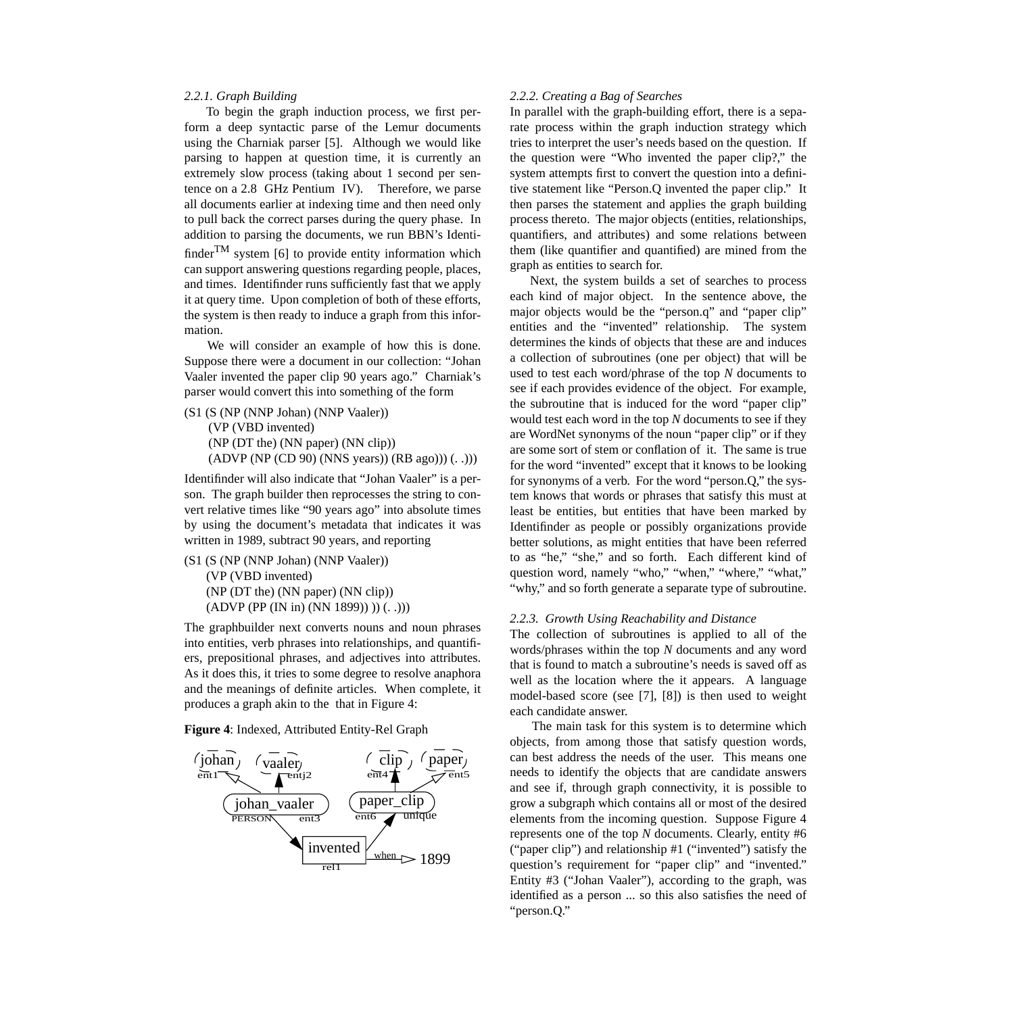#### *2.2.1. Graph Building*

To begin the graph induction process, we first perform a deep syntactic parse of the Lemur documents using the Charniak parser [5]. Although we would like parsing to happen at question time, it is currently an extremely slow process (taking about 1 second per sentence on a 2.8 GHz Pentium IV). Therefore, we parse all documents earlier at indexing time and then need only to pull back the correct parses during the query phase. In addition to parsing the documents, we run BBN's Identifinder<sup>TM</sup> system [6] to provide entity information which can support answering questions regarding people, places, and times. Identifinder runs sufficiently fast that we apply it at query time. Upon completion of both of these efforts, the system is then ready to induce a graph from this information.

We will consider an example of how this is done. Suppose there were a document in our collection: "Johan Vaaler invented the paper clip 90 years ago." Charniak's parser would convert this into something of the form

```
(S1 (S (NP (NNP Johan) (NNP Vaaler))
(VP (VBD invented)
(NP (DT the) (NN paper) (NN clip))
(ADVP (NP (CD 90) (NNS years)) (RB ago))) (. .)))
```
Identifinder will also indicate that "Johan Vaaler" is a person. The graph builder then reprocesses the string to convert relative times like "90 years ago" into absolute times by using the document's metadata that indicates it was written in 1989, subtract 90 years, and reporting

(S1 (S (NP (NNP Johan) (NNP Vaaler)) (VP (VBD invented) (NP (DT the) (NN paper) (NN clip)) (ADVP (PP (IN in) (NN 1899)) )) (. .)))

The graphbuilder next converts nouns and noun phrases into entities, verb phrases into relationships, and quantifiers, prepositional phrases, and adjectives into attributes. As it does this, it tries to some degree to resolve anaphora and the meanings of definite articles. When complete, it produces a graph akin to the that in Figure 4:





#### *2.2.2. Creating a Bag of Searches*

In parallel with the graph-building effort, there is a separate process within the graph induction strategy which tries to interpret the user's needs based on the question. If the question were "Who invented the paper clip?," the system attempts first to convert the question into a definitive statement like "Person.Q invented the paper clip." It then parses the statement and applies the graph building process thereto. The major objects (entities, relationships, quantifiers, and attributes) and some relations between them (like quantifier and quantified) are mined from the graph as entities to search for.

Next, the system builds a set of searches to process each kind of major object. In the sentence above, the major objects would be the "person.q" and "paper clip" entities and the "invented" relationship. The system determines the kinds of objects that these are and induces a collection of subroutines (one per object) that will be used to test each word/phrase of the top *N* documents to see if each provides evidence of the object. For example, the subroutine that is induced for the word "paper clip" would test each word in the top *N* documents to see if they are WordNet synonyms of the noun "paper clip" or if they are some sort of stem or conflation of it. The same is true for the word "invented" except that it knows to be looking for synonyms of a verb. For the word "person.Q," the system knows that words or phrases that satisfy this must at least be entities, but entities that have been marked by Identifinder as people or possibly organizations provide better solutions, as might entities that have been referred to as "he," "she," and so forth. Each different kind of question word, namely "who," "when," "where," "what," "why," and so forth generate a separate type of subroutine.

#### *2.2.3. Growth Using Reachability and Distance*

The collection of subroutines is applied to all of the words/phrases within the top *N* documents and any word that is found to match a subroutine's needs is saved off as well as the location where the it appears. A language model-based score (see [7], [8]) is then used to weight each candidate answer.

The main task for this system is to determine which objects, from among those that satisfy question words, can best address the needs of the user. This means one needs to identify the objects that are candidate answers and see if, through graph connectivity, it is possible to grow a subgraph which contains all or most of the desired elements from the incoming question. Suppose Figure 4 represents one of the top *N* documents. Clearly, entity #6 ("paper clip") and relationship #1 ("invented") satisfy the question's requirement for "paper clip" and "invented." Entity #3 ("Johan Vaaler"), according to the graph, was identified as a person ... so this also satisfies the need of "person.Q."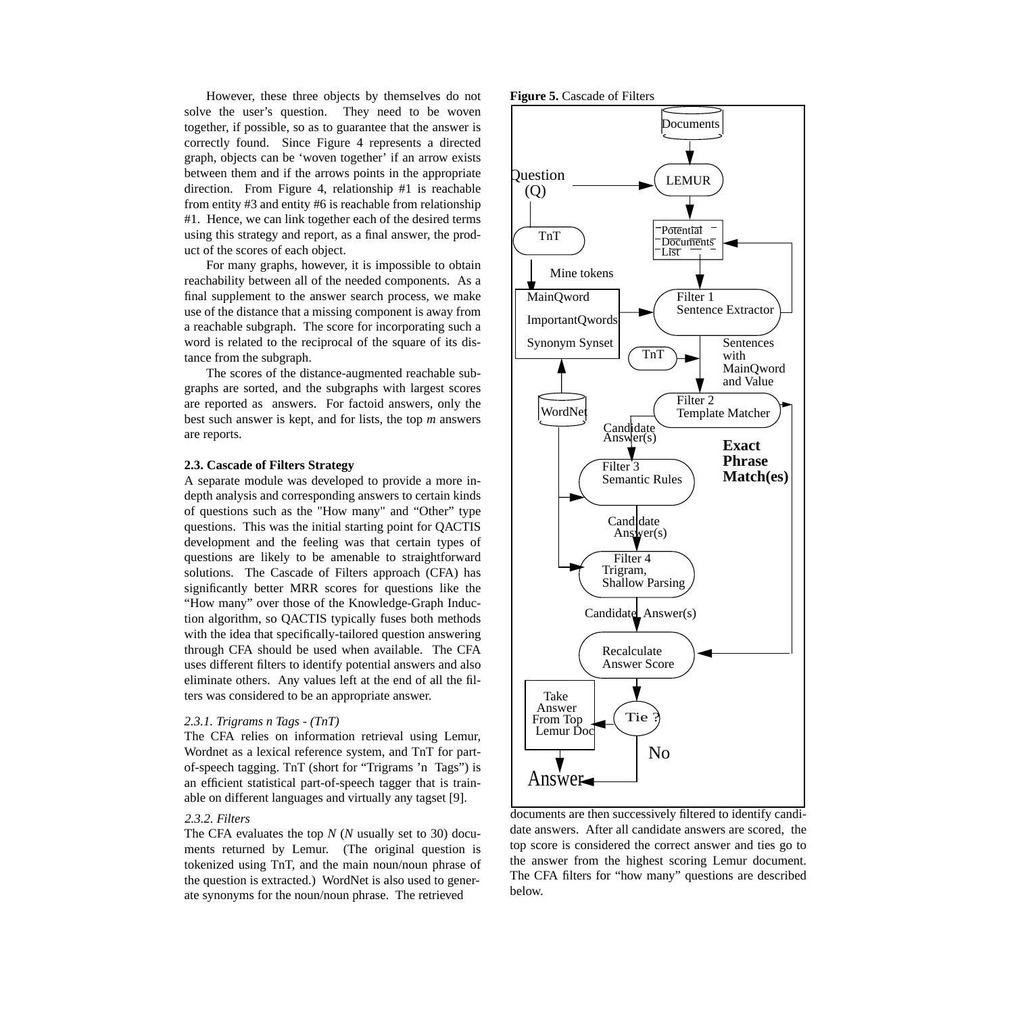However, these three objects by themselves do not solve the user's question. They need to be woven together, if possible, so as to guarantee that the answer is correctly found. Since Figure 4 represents a directed graph, objects can be 'woven together' if an arrow exists between them and if the arrows points in the appropriate direction. From Figure 4, relationship #1 is reachable from entity #3 and entity #6 is reachable from relationship #1. Hence, we can link together each of the desired terms using this strategy and report, as a final answer, the product of the scores of each object.

For many graphs, however, it is impossible to obtain reachability between all of the needed components. As a final supplement to the answer search process, we make use of the distance that a missing component is away from a reachable subgraph. The score for incorporating such a word is related to the reciprocal of the square of its distance from the subgraph.

The scores of the distance-augmented reachable subgraphs are sorted, and the subgraphs with largest scores are reported as answers. For factoid answers, only the best such answer is kept, and for lists, the top *m* answers are reports.

#### **2.3. Cascade of Filters Strategy**

A separate module was developed to provide a more indepth analysis and corresponding answers to certain kinds of questions such as the "How many" and "Other" type questions. This was the initial starting point for QACTIS development and the feeling was that certain types of questions are likely to be amenable to straightforward solutions. The Cascade of Filters approach (CFA) has significantly better MRR scores for questions like the "How many" over those of the Knowledge-Graph Induction algorithm, so QACTIS typically fuses both methods with the idea that specifically-tailored question answering through CFA should be used when available. The CFA uses different filters to identify potential answers and also eliminate others. Any values left at the end of all the filters was considered to be an appropriate answer.

#### *2.3.1. Trigrams n Tags - (TnT)*

The CFA relies on information retrieval using Lemur, Wordnet as a lexical reference system, and TnT for partof-speech tagging. TnT (short for "Trigrams 'n Tags") is an efficient statistical part-of-speech tagger that is trainable on different languages and virtually any tagset [9].

# *2.3.2. Filters*

The CFA evaluates the top *N* (*N* usually set to 30) documents returned by Lemur. (The original question is tokenized using TnT, and the main noun/noun phrase of the question is extracted.) WordNet is also used to generate synonyms for the noun/noun phrase. The retrieved





documents are then successively filtered to identify candidate answers. After all candidate answers are scored, the top score is considered the correct answer and ties go to the answer from the highest scoring Lemur document. The CFA filters for "how many" questions are described below.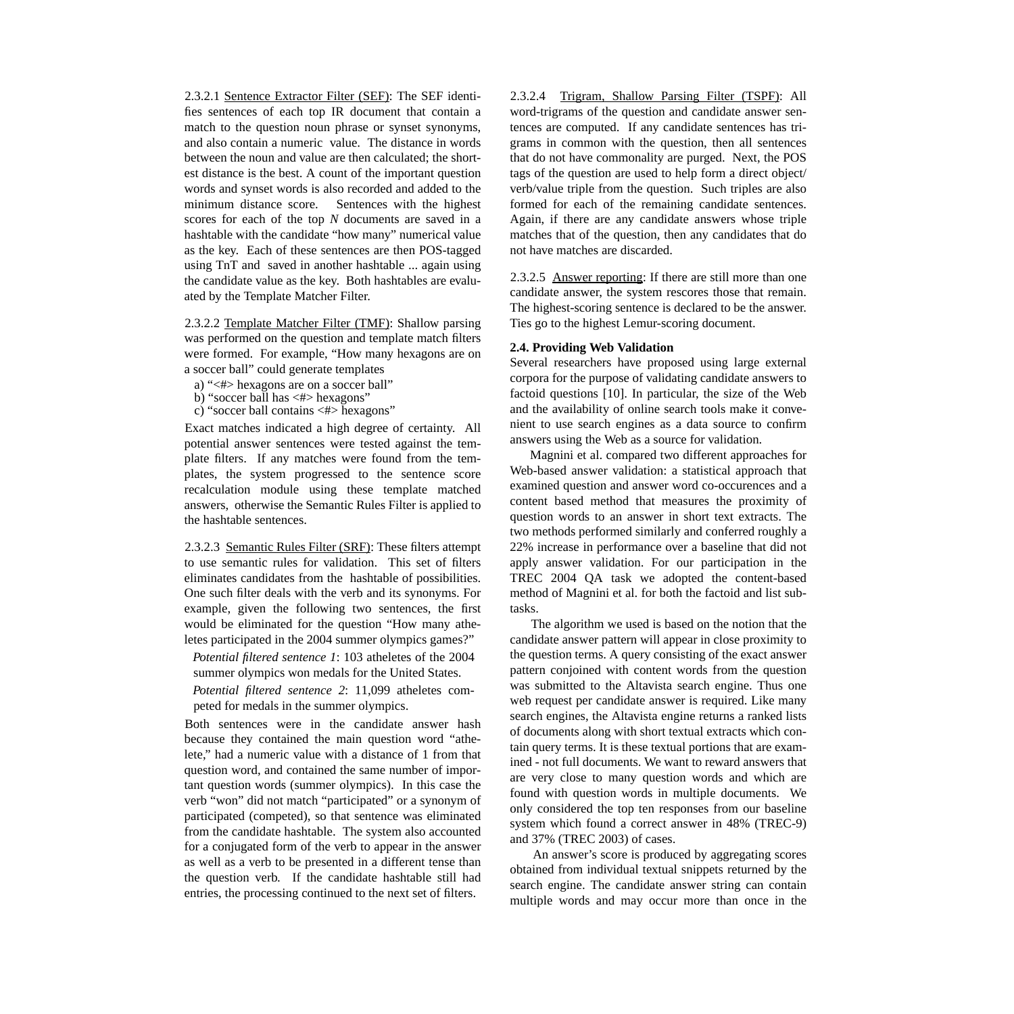2.3.2.1 Sentence Extractor Filter (SEF): The SEF identifies sentences of each top IR document that contain a match to the question noun phrase or synset synonyms, and also contain a numeric value. The distance in words between the noun and value are then calculated; the shortest distance is the best. A count of the important question words and synset words is also recorded and added to the minimum distance score. Sentences with the highest scores for each of the top *N* documents are saved in a hashtable with the candidate "how many" numerical value as the key. Each of these sentences are then POS-tagged using TnT and saved in another hashtable ... again using the candidate value as the key. Both hashtables are evaluated by the Template Matcher Filter.

2.3.2.2 Template Matcher Filter (TMF): Shallow parsing was performed on the question and template match filters were formed. For example, "How many hexagons are on a soccer ball" could generate templates

a) "<#> hexagons are on a soccer ball"

b) "soccer ball has  $\langle # \rangle$  hexagons"

c) "soccer ball contains <#> hexagons"

Exact matches indicated a high degree of certainty. All potential answer sentences were tested against the template filters. If any matches were found from the templates, the system progressed to the sentence score recalculation module using these template matched answers, otherwise the Semantic Rules Filter is applied to the hashtable sentences.

2.3.2.3 Semantic Rules Filter (SRF): These filters attempt to use semantic rules for validation. This set of filters eliminates candidates from the hashtable of possibilities. One such filter deals with the verb and its synonyms. For example, given the following two sentences, the first would be eliminated for the question "How many atheletes participated in the 2004 summer olympics games?"

*Potential filtered sentence 1*: 103 atheletes of the 2004 summer olympics won medals for the United States.

*Potential filtered sentence 2*: 11,099 atheletes competed for medals in the summer olympics.

Both sentences were in the candidate answer hash because they contained the main question word "athelete," had a numeric value with a distance of 1 from that question word, and contained the same number of important question words (summer olympics). In this case the verb "won" did not match "participated" or a synonym of participated (competed), so that sentence was eliminated from the candidate hashtable. The system also accounted for a conjugated form of the verb to appear in the answer as well as a verb to be presented in a different tense than the question verb. If the candidate hashtable still had entries, the processing continued to the next set of filters.

2.3.2.4 Trigram, Shallow Parsing Filter (TSPF): All word-trigrams of the question and candidate answer sentences are computed. If any candidate sentences has trigrams in common with the question, then all sentences that do not have commonality are purged. Next, the POS tags of the question are used to help form a direct object/ verb/value triple from the question. Such triples are also formed for each of the remaining candidate sentences. Again, if there are any candidate answers whose triple matches that of the question, then any candidates that do not have matches are discarded.

2.3.2.5 Answer reporting: If there are still more than one candidate answer, the system rescores those that remain. The highest-scoring sentence is declared to be the answer. Ties go to the highest Lemur-scoring document.

#### **2.4. Providing Web Validation**

Several researchers have proposed using large external corpora for the purpose of validating candidate answers to factoid questions [10]. In particular, the size of the Web and the availability of online search tools make it convenient to use search engines as a data source to confirm answers using the Web as a source for validation.

Magnini et al. compared two different approaches for Web-based answer validation: a statistical approach that examined question and answer word co-occurences and a content based method that measures the proximity of question words to an answer in short text extracts. The two methods performed similarly and conferred roughly a 22% increase in performance over a baseline that did not apply answer validation. For our participation in the TREC 2004 QA task we adopted the content-based method of Magnini et al. for both the factoid and list subtasks.

The algorithm we used is based on the notion that the candidate answer pattern will appear in close proximity to the question terms. A query consisting of the exact answer pattern conjoined with content words from the question was submitted to the Altavista search engine. Thus one web request per candidate answer is required. Like many search engines, the Altavista engine returns a ranked lists of documents along with short textual extracts which contain query terms. It is these textual portions that are examined - not full documents. We want to reward answers that are very close to many question words and which are found with question words in multiple documents. We only considered the top ten responses from our baseline system which found a correct answer in 48% (TREC-9) and 37% (TREC 2003) of cases.

An answer's score is produced by aggregating scores obtained from individual textual snippets returned by the search engine. The candidate answer string can contain multiple words and may occur more than once in the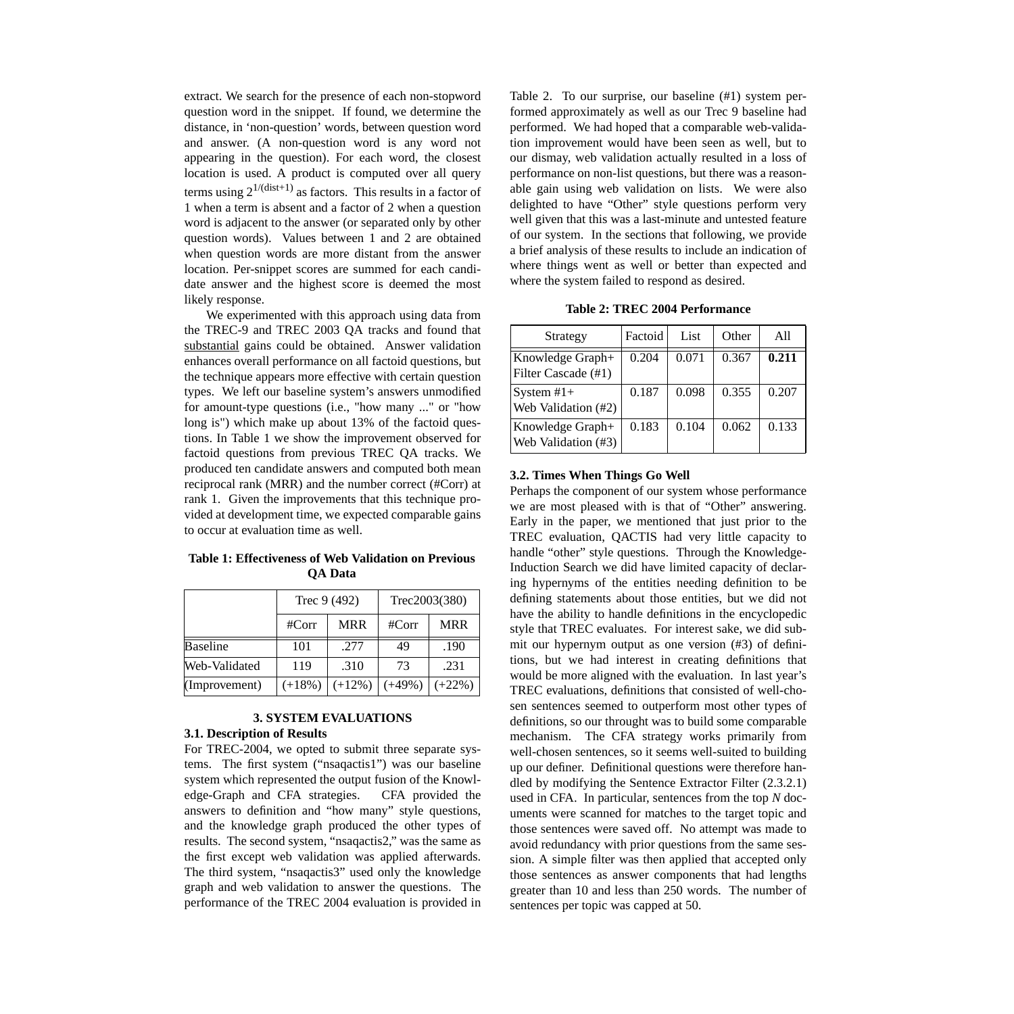extract. We search for the presence of each non-stopword question word in the snippet. If found, we determine the distance, in 'non-question' words, between question word and answer. (A non-question word is any word not appearing in the question). For each word, the closest location is used. A product is computed over all query terms using  $2^{1/(dist+1)}$  as factors. This results in a factor of 1 when a term is absent and a factor of 2 when a question word is adjacent to the answer (or separated only by other question words). Values between 1 and 2 are obtained when question words are more distant from the answer location. Per-snippet scores are summed for each candidate answer and the highest score is deemed the most likely response.

We experimented with this approach using data from the TREC-9 and TREC 2003 QA tracks and found that substantial gains could be obtained. Answer validation enhances overall performance on all factoid questions, but the technique appears more effective with certain question types. We left our baseline system's answers unmodified for amount-type questions (i.e., "how many ..." or "how long is") which make up about 13% of the factoid questions. In Table 1 we show the improvement observed for factoid questions from previous TREC QA tracks. We produced ten candidate answers and computed both mean reciprocal rank (MRR) and the number correct (#Corr) at rank 1. Given the improvements that this technique provided at development time, we expected comparable gains to occur at evaluation time as well.

**Table 1: Effectiveness of Web Validation on Previous QA Data**

|                 | Trec 9 (492) |            | Trec2003(380) |            |
|-----------------|--------------|------------|---------------|------------|
|                 | #Corr        | <b>MRR</b> | #Corr         | <b>MRR</b> |
| <b>Baseline</b> | 101          | .277       | 49            | .190       |
| Web-Validated   | 119          | .310       | 73            | .231       |
| (Improvement)   | $(+18%)$     | $(+12%)$   | $(+49%)$      | $(+22%)$   |

# **3. SYSTEM EVALUATIONS**

# **3.1. Description of Results**

For TREC-2004, we opted to submit three separate systems. The first system ("nsaqactis1") was our baseline system which represented the output fusion of the Knowledge-Graph and CFA strategies. CFA provided the answers to definition and "how many" style questions, and the knowledge graph produced the other types of results. The second system, "nsaqactis2," was the same as the first except web validation was applied afterwards. The third system, "nsaqactis3" used only the knowledge graph and web validation to answer the questions. The performance of the TREC 2004 evaluation is provided in

Table 2. To our surprise, our baseline (#1) system performed approximately as well as our Trec 9 baseline had performed. We had hoped that a comparable web-validation improvement would have been seen as well, but to our dismay, web validation actually resulted in a loss of performance on non-list questions, but there was a reasonable gain using web validation on lists. We were also delighted to have "Other" style questions perform very well given that this was a last-minute and untested feature of our system. In the sections that following, we provide a brief analysis of these results to include an indication of where things went as well or better than expected and where the system failed to respond as desired.

**Table 2: TREC 2004 Performance**

| Strategy                                          | Factoid | List  | Other | A11   |
|---------------------------------------------------|---------|-------|-------|-------|
| Knowledge Graph+<br>Filter Cascade (#1)           | 0.204   | 0.071 | 0.367 | 0.211 |
| $\sqrt{\text{System H1+}}$<br>Web Validation (#2) | 0.187   | 0.098 | 0.355 | 0.207 |
| Knowledge Graph+<br>Web Validation (#3)           | 0.183   | 0.104 | 0.062 | 0.133 |

## **3.2. Times When Things Go Well**

Perhaps the component of our system whose performance we are most pleased with is that of "Other" answering. Early in the paper, we mentioned that just prior to the TREC evaluation, QACTIS had very little capacity to handle "other" style questions. Through the Knowledge-Induction Search we did have limited capacity of declaring hypernyms of the entities needing definition to be defining statements about those entities, but we did not have the ability to handle definitions in the encyclopedic style that TREC evaluates. For interest sake, we did submit our hypernym output as one version (#3) of definitions, but we had interest in creating definitions that would be more aligned with the evaluation. In last year's TREC evaluations, definitions that consisted of well-chosen sentences seemed to outperform most other types of definitions, so our throught was to build some comparable mechanism. The CFA strategy works primarily from well-chosen sentences, so it seems well-suited to building up our definer. Definitional questions were therefore handled by modifying the Sentence Extractor Filter (2.3.2.1) used in CFA. In particular, sentences from the top *N* documents were scanned for matches to the target topic and those sentences were saved off. No attempt was made to avoid redundancy with prior questions from the same session. A simple filter was then applied that accepted only those sentences as answer components that had lengths greater than 10 and less than 250 words. The number of sentences per topic was capped at 50.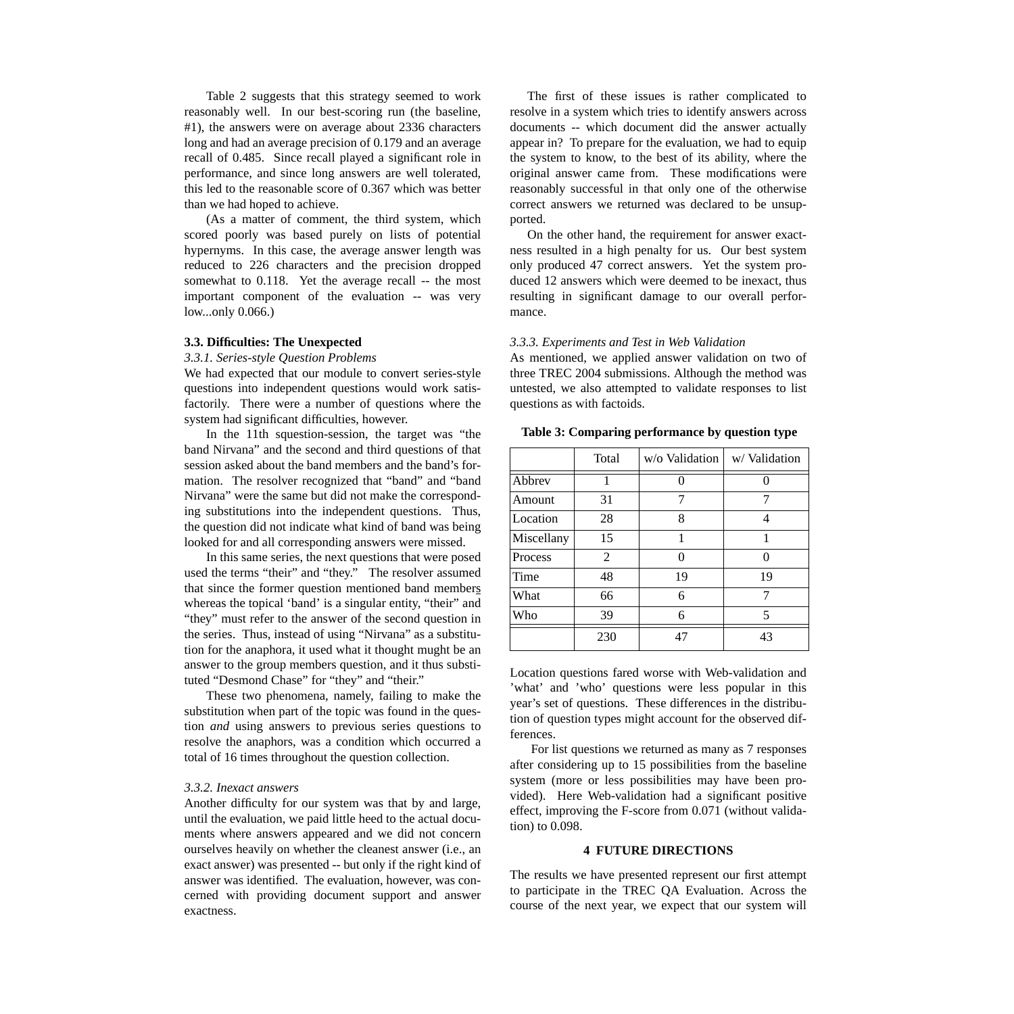Table 2 suggests that this strategy seemed to work reasonably well. In our best-scoring run (the baseline, #1), the answers were on average about 2336 characters long and had an average precision of 0.179 and an average recall of 0.485. Since recall played a significant role in performance, and since long answers are well tolerated, this led to the reasonable score of 0.367 which was better than we had hoped to achieve.

(As a matter of comment, the third system, which scored poorly was based purely on lists of potential hypernyms. In this case, the average answer length was reduced to 226 characters and the precision dropped somewhat to 0.118. Yet the average recall -- the most important component of the evaluation -- was very low...only 0.066.)

#### **3.3. Difficulties: The Unexpected**

#### *3.3.1. Series-style Question Problems*

We had expected that our module to convert series-style questions into independent questions would work satisfactorily. There were a number of questions where the system had significant difficulties, however.

In the 11th squestion-session, the target was "the band Nirvana" and the second and third questions of that session asked about the band members and the band's formation. The resolver recognized that "band" and "band Nirvana" were the same but did not make the corresponding substitutions into the independent questions. Thus, the question did not indicate what kind of band was being looked for and all corresponding answers were missed.

In this same series, the next questions that were posed used the terms "their" and "they." The resolver assumed that since the former question mentioned band members whereas the topical 'band' is a singular entity, "their" and "they" must refer to the answer of the second question in the series. Thus, instead of using "Nirvana" as a substitution for the anaphora, it used what it thought mught be an answer to the group members question, and it thus substituted "Desmond Chase" for "they" and "their."

These two phenomena, namely, failing to make the substitution when part of the topic was found in the question *and* using answers to previous series questions to resolve the anaphors, was a condition which occurred a total of 16 times throughout the question collection.

#### *3.3.2. Inexact answers*

Another difficulty for our system was that by and large, until the evaluation, we paid little heed to the actual documents where answers appeared and we did not concern ourselves heavily on whether the cleanest answer (i.e., an exact answer) was presented -- but only if the right kind of answer was identified. The evaluation, however, was concerned with providing document support and answer exactness.

The first of these issues is rather complicated to resolve in a system which tries to identify answers across documents -- which document did the answer actually appear in? To prepare for the evaluation, we had to equip the system to know, to the best of its ability, where the original answer came from. These modifications were reasonably successful in that only one of the otherwise correct answers we returned was declared to be unsupported.

On the other hand, the requirement for answer exactness resulted in a high penalty for us. Our best system only produced 47 correct answers. Yet the system produced 12 answers which were deemed to be inexact, thus resulting in significant damage to our overall performance.

#### *3.3.3. Experiments and Test in Web Validation*

As mentioned, we applied answer validation on two of three TREC 2004 submissions. Although the method was untested, we also attempted to validate responses to list questions as with factoids.

|            | Total | w/o Validation | w/Validation |
|------------|-------|----------------|--------------|
| Abbrev     |       |                |              |
| Amount     | 31    | 7              | 7            |
| Location   | 28    | 8              |              |
| Miscellany | 15    | 1              | 1            |
| Process    | 2     | $\mathcal{O}$  | 0            |
| Time       | 48    | 19             | 19           |
| What       | 66    | 6              | 7            |
| Who        | 39    | 6              | 5            |
|            | 230   | 47             | 43           |

**Table 3: Comparing performance by question type**

Location questions fared worse with Web-validation and 'what' and 'who' questions were less popular in this year's set of questions. These differences in the distribution of question types might account for the observed differences.

For list questions we returned as many as 7 responses after considering up to 15 possibilities from the baseline system (more or less possibilities may have been provided). Here Web-validation had a significant positive effect, improving the F-score from 0.071 (without validation) to 0.098.

#### **4 FUTURE DIRECTIONS**

The results we have presented represent our first attempt to participate in the TREC QA Evaluation. Across the course of the next year, we expect that our system will